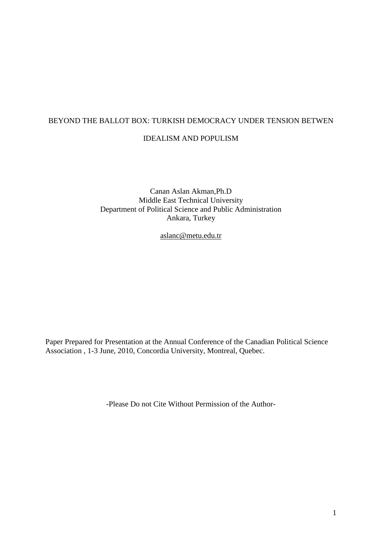# BEYOND THE BALLOT BOX: TURKISH DEMOCRACY UNDER TENSION BETWEN

# IDEALISM AND POPULISM

Canan Aslan Akman,Ph.D Middle East Technical University Department of Political Science and Public Administration Ankara, Turkey

aslanc@metu.edu.tr

Paper Prepared for Presentation at the Annual Conference of the Canadian Political Science Association , 1-3 June, 2010, Concordia University, Montreal, Quebec.

-Please Do not Cite Without Permission of the Author-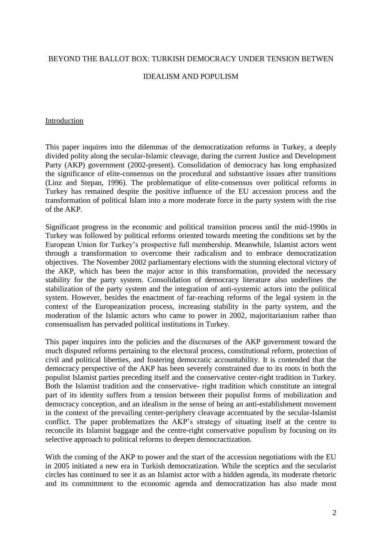## BEYOND THE BALLOT BOX: TURKISH DEMOCRACY UNDER TENSION BETWEN

## IDEALISM AND POPULISM

#### Introduction

This paper inquires into the dilemmas of the democratization reforms in Turkey, a deeply divided polity along the secular-Islamic cleavage, during the current Justice and Development Party (AKP) government (2002-present). Consolidation of democracy has long emphasized the significance of elite-consensus on the procedural and substantive issues after transitions (Linz and Stepan, 1996). The problematique of elite-consensus over political reforms in Turkey has remained despite the positive influence of the EU accession process and the transformation of political Islam into a more moderate force in the party system with the rise of the AKP.

Significant progress in the economic and political transition process until the mid-1990s in Turkey was followed by political reforms oriented towards meeting the conditions set by the European Union for Turkey"s prospective full membership. Meanwhile, Islamist actors went through a transformation to overcome their radicalism and to embrace democratization objectives. The November 2002 parliamentary elections with the stunning electoral victory of the AKP, which has been the major actor in this transformation, provided the necessary stability for the party system. Consolidation of democracy literature also underlines the stabilization of the party system and the integration of anti-systemic actors into the political system. However, besides the enactment of far-reaching reforms of the legal system in the context of the Europeanization process, increasing stability in the party system, and the moderation of the Islamic actors who came to power in 2002, majoritarianism rather than consensualism has pervaded political institutions in Turkey.

This paper inquires into the policies and the discourses of the AKP government toward the much disputed reforms pertaining to the electoral process, constitutional reform, protection of civil and political liberties, and fostering democratic accountability. It is contended that the democracy perspective of the AKP has been severely constrained due to its roots in both the populist Islamist parties preceding itself and the conservative center-right tradition in Turkey. Both the Islamist tradition and the conservative- right tradition which constitute an integral part of its identity suffers from a tension between their populist forms of mobilization and democracy conception, and an idealism in the sense of being an anti-establishment movement in the context of the prevailing center-periphery cleavage accentuated by the secular-Islamist conflict. The paper problematizes the AKP"s strategy of situating itself at the centre to reconcile its Islamist baggage and the centre-right conservative populism by focusing on its selective approach to political reforms to deepen democractization.

With the coming of the AKP to power and the start of the accession negotiations with the EU in 2005 initiated a new era in Turkish democratization. While the sceptics and the secularist circles has continued to see it as an Islamist actor with a hidden agenda, its moderate rhetoric and its committment to the economic agenda and democratization has also made most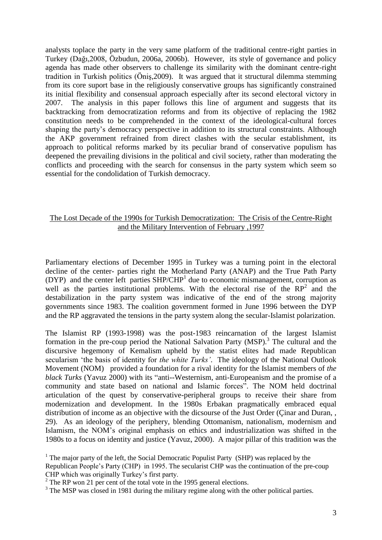analysts toplace the party in the very same platform of the traditional centre-right parties in Turkey (Dağı,2008, Özbudun, 2006a, 2006b). However, its style of governance and policy agenda has made other observers to challenge its similarity with the dominant centre-right tradition in Turkish politics (Öniş,2009). It was argued that it structural dilemma stemming from its core suport base in the religiously conservative groups has significantly constrained its initial flexibility and consensual approach especially after its second electoral victory in 2007. The analysis in this paper follows this line of argument and suggests that its backtracking from democratization reforms and from its objective of replacing the 1982 constitution needs to be comprehended in the context of the ideological-cultural forces shaping the party's democracy perspective in addition to its structural constraints. Although the AKP government refrained from direct clashes with the secular establishment, its approach to political reforms marked by its peculiar brand of conservative populism has deepened the prevailing divisions in the political and civil society, rather than moderating the conflicts and proceeding with the search for consensus in the party system which seem so essential for the condolidation of Turkish democracy.

## The Lost Decade of the 1990s for Turkish Democratization: The Crisis of the Centre-Right and the Military Intervention of February ,1997

Parliamentary elections of December 1995 in Turkey was a turning point in the electoral decline of the center- parties right the Motherland Party (ANAP) and the True Path Party (DYP) and the center left parties SHP/CHP<sup>1</sup> due to economic mismanagement, corruption as well as the parties institutional problems. With the electoral rise of the  $RP^2$  and the destabilization in the party system was indicative of the end of the strong majority governments since 1983. The coalition government formed in June 1996 between the DYP and the RP aggravated the tensions in the party system along the secular-Islamist polarization.

The Islamist RP (1993-1998) was the post-1983 reincarnation of the largest Islamist formation in the pre-coup period the National Salvation Party (MSP).<sup>3</sup> The cultural and the discursive hegemony of Kemalism upheld by the statist elites had made Republican secularism "the basis of identity for *the white Turks'*. The ideology of the National Outlook Movement (NOM) provided a foundation for a rival identity for the Islamist members of *the black Turks* (Yavuz 2000) with its "anti--Westernism, anti-Europeanism and the promise of a community and state based on national and Islamic forces". The NOM held doctrinal articulation of the quest by conservative-peripheral groups to receive their share from modernization and development. In the 1980s Erbakan pragmatically embraced equal distribution of income as an objective with the dicsourse of the Just Order (Cinar and Duran, , 29). As an ideology of the periphery, blending Ottomanism, nationalism, modernism and Islamism, the NOM"s original emphasis on ethics and industrialization was shifted in the 1980s to a focus on identity and justice (Yavuz, 2000). A major pillar of this tradition was the

<sup>1</sup> The major party of the left, the Social Democratic Populist Party (SHP) was replaced by the Republican People"s Party (CHP) in 1995. The secularist CHP was the continuation of the pre-coup CHP which was originally Turkey's first party.

 $2^{\circ}$  The RP won 21 per cent of the total vote in the 1995 general elections.

<sup>&</sup>lt;sup>3</sup> The MSP was closed in 1981 during the military regime along with the other political parties.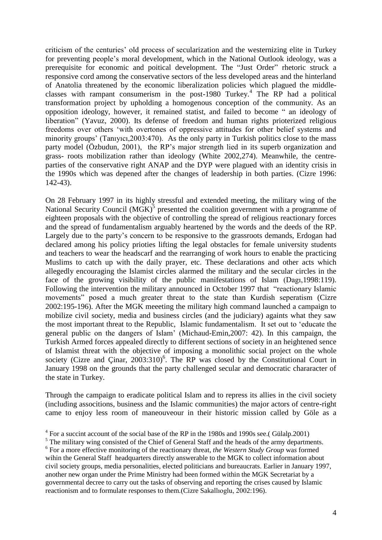criticism of the centuries" old process of secularization and the westernizing elite in Turkey for preventing people"s moral development, which in the National Outlook ideology, was a prerequisite for economic and poitical development. The "Just Order" rhetoric struck a responsive cord among the conservative sectors of the less developed areas and the hinterland of Anatolia threatened by the economic liberalization policies which plagued the middleclasses with rampant consumerism in the post-1980 Turkey.<sup>4</sup> The RP had a political transformation project by upholding a homogenous conception of the community. As an opposition ideology, however, it remained statist, and failed to become " an ideology of liberation" (Yavuz, 2000). Its defense of freedom and human rights prioterized religious freedoms over others "with overtones of oppressive attitudes for other belief systems and minority groups' (Tanivici, 2003: 470). As the only party in Turkish politics close to the mass party model (Özbudun, 2001), the RP"s major strength lied in its superb organization and grass- roots mobilization rather than ideology (White 2002,274). Meanwhile, the centreparties of the conservative right ANAP and the DYP were plagued with an identity crisis in the 1990s which was depened after the changes of leadership in both parties. (Cizre 1996: 142-43).

On 28 February 1997 in its highly stressful and extended meeting, the military wing of the National Security Council (MGK)<sup>5</sup> presented the coalition government with a programme of eighteen proposals with the objective of controlling the spread of religious reactionary forces and the spread of fundamentalism arguably heartened by the words and the deeds of the RP. Largely due to the party"s concern to be responsive to the grassroots demands, Erdogan had declared among his policy prioties lifting the legal obstacles for female university students and teachers to wear the headscarf and the rearranging of work hours to enable the practicing Muslims to catch up with the daily prayer, etc. These declarations and other acts which allegedly encouraging the Islamist circles alarmed the military and the secular circles in the face of the growing visibility of the public manifestations of Islam (Dagı,1998:119). Following the intervention the military announced in October 1997 that "reactionary Islamic movements" posed a much greater threat to the state than Kurdish seperatism (Cizre 2002:195-196). After the MGK meeeting the military high command launched a campaign to mobilize civil society, media and business circles (and the judiciary) againts what they saw the most important threat to the Republic, Islamic fundamentalism. It set out to "educate the general public on the dangers of Islam" (Michaud-Emin,2007: 42). In this campaign, the Turkish Armed forces appealed directly to different sections of society in an heightened sence of Islamist threat with the objective of imposing a monolithic social project on the whole society (Cizre and Çinar,  $2003:310$ <sup>6</sup>. The RP was closed by the Constitutional Court in January 1998 on the grounds that the party challenged secular and democratic chararacter of the state in Turkey.

Through the campaign to eradicate political Islam and to repress its allies in the civil society (including associtions, business and the Islamic communities) the major actors of centre-right came to enjoy less room of maneouveour in their historic mission called by Göle as a

 $4$  For a succint account of the social base of the RP in the 1980s and 1990s see.(Gülalp.2001)

<sup>&</sup>lt;sup>5</sup> The military wing consisted of the Chief of General Staff and the heads of the army departments. 6 For a more effective monitoring of the reactionary threat, *the Western Study Group* wa*s* formed wihin the General Staff headquarters directly answerable to the MGK to collect information about civil society groups, media personalities, elected politicians and bureaucrats. Earlier in January 1997, another new organ under the Prime Ministry had been formed within the MGK Secretariat by a governmental decree to carry out the tasks of observing and reporting the crises caused by Islamic reactionism and to formulate responses to them.(Cizre Sakallıoglu, 2002:196).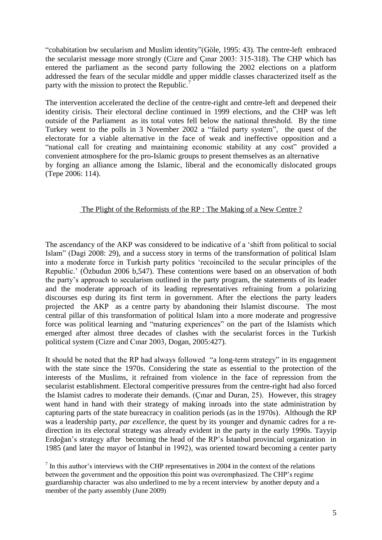"cohabitation bw secularism and Muslim identity"(Göle, 1995: 43). The centre-left embraced the secularist message more strongly (Cizre and Çınar 2003: 315-318). The CHP which has entered the parliament as the second party following the 2002 elections on a platform addressed the fears of the secular middle and upper middle classes characterized itself as the party with the mission to protect the Republic.<sup>7</sup>

The intervention accelerated the decline of the centre-right and centre-left and deepened their identity cirisis. Their electoral decline continued in 1999 elections, and the CHP was left outside of the Parliament as its total votes fell below the national threshold. By the time Turkey went to the polls in 3 November 2002 a "failed party system", the quest of the electorate for a viable alternative in the face of weak and ineffective opposition and a "national call for creating and maintaining economic stability at any cost" provided a convenient atmosphere for the pro-Islamic groups to present themselves as an alternative by forging an alliance among the Islamic, liberal and the economically dislocated groups (Tepe 2006: 114).

## The Plight of the Reformists of the RP : The Making of a New Centre ?

The ascendancy of the AKP was considered to be indicative of a "shift from political to social Islam" (Dagi 2008: 29), and a success story in terms of the transformation of political Islam into a moderate force in Turkish party politics "recoinciled to the secular principles of the Republic." (Özbudun 2006 b,547). These contentions were based on an observation of both the party"s approach to secularism outlined in the party program, the statements of its leader and the moderate approach of its leading representatives refraining from a polarizing discourses esp during its first term in government. After the elections the party leaders projected the AKP as a centre party by abandoning their Islamist discourse. The most central pillar of this transformation of political Islam into a more moderate and progressive force was political learning and "maturing experiences" on the part of the Islamists which emerged after almost three decades of clashes with the secularist forces in the Turkish political system (Cizre and Cınar 2003, Dogan, 2005:427).

It should be noted that the RP had always followed "a long-term strategy" in its engagement with the state since the 1970s. Considering the state as essential to the protection of the interests of the Muslims, it refrained from violence in the face of repression from the secularist establishment. Electoral comperitive pressures from the centre-right had also forced the Islamist cadres to moderate their demands. (Çınar and Duran, 25). However, this stragey went hand in hand with their strategy of making inroads into the state administration by capturing parts of the state bureacracy in coalition periods (as in the 1970s). Although the RP was a leadership party, *par excellence*, the quest by its younger and dynamic cadres for a redirection in its electoral strategy was already evident in the party in the early 1990s. Tayyip Erdoğan"s strategy after becoming the head of the RP"s İstanbul provincial organization in 1985 (and later the mayor of İstanbul in 1992), was oriented toward becoming a center party

 $<sup>7</sup>$  In this author's interviews with the CHP representatives in 2004 in the context of the relations</sup> between the government and the opposition this point was overemphasized. The CHP's regime guardianship character was also underlined to me by a recent interview by another deputy and a member of the party assembly (June 2009)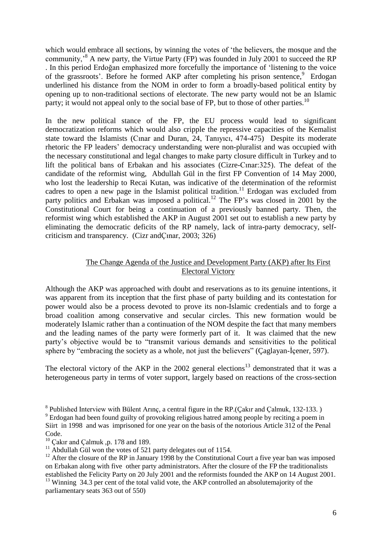which would embrace all sections, by winning the votes of "the believers, the mosque and the community,<sup>38</sup> A new party, the Virtue Party (FP) was founded in July 2001 to succeed the RP . In this period Erdoğan emphasized more forcefully the importance of "listening to the voice of the grassroots'. Before he formed AKP after completing his prison sentence,<sup>9</sup> Erdogan underlined his distance from the NOM in order to form a broadly-based political entity by opening up to non-traditional sections of electorate. The new party would not be an Islamic party; it would not appeal only to the social base of FP, but to those of other parties.<sup>10</sup>

In the new political stance of the FP, the EU process would lead to significant democratization reforms which would also cripple the repressive capacities of the Kemalist state toward the Islamists (Cınar and Duran, 24, Tanıyıcı, 474-475) Despite its moderate rhetoric the FP leaders" democracy understanding were non-pluralist and was occupied with the necessary constitutional and legal changes to make party closure difficult in Turkey and to lift the political bans of Erbakan and his associates (Cizre-Cınar:325). The defeat of the candidate of the reformist wing, Abdullah Gül in the first FP Convention of 14 May 2000, who lost the leadership to Recai Kutan, was indicative of the determination of the reformist cadres to open a new page in the Islamist political tradition.<sup>11</sup> Erdogan was excluded from party politics and Erbakan was imposed a political.<sup>12</sup> The FP's was closed in 2001 by the Constitutional Court for being a continuation of a previously banned party. Then, the reformist wing which established the AKP in August 2001 set out to establish a new party by eliminating the democratic deficits of the RP namely, lack of intra-party democracy, selfcriticism and transparency. (Cizr andÇınar, 2003; 326)

# The Change Agenda of the Justice and Development Party (AKP) after Its First Electoral Victory

Although the AKP was approached with doubt and reservations as to its genuine intentions, it was apparent from its inception that the first phase of party building and its contestation for power would also be a process devoted to prove its non-Islamic credentials and to forge a broad coalition among conservative and secular circles. This new formation would be moderately Islamic rather than a continuation of the NOM despite the fact that many members and the leading names of the party were formerly part of it. It was claimed that the new party"s objective would be to "transmit various demands and sensitivities to the political sphere by "embracing the society as a whole, not just the believers" (Çaglayan-İçener, 597).

The electoral victory of the AKP in the 2002 general elections<sup>13</sup> demonstrated that it was a heterogeneous party in terms of voter support, largely based on reactions of the cross-section

parliamentary seats 363 out of 550)

<sup>&</sup>lt;sup>8</sup> Published Interview with Bülent Arınç, a central figure in the RP.(Çakır and Çalmuk, 132-133.)

<sup>&</sup>lt;sup>9</sup> Erdogan had been found guilty of provoking religious hatred among people by reciting a poem in Siirt in 1998 and was imprisoned for one year on the basis of the notorious Article 312 of the Penal Code.

 $^{10}$  Çakır and Çalmuk ,p. 178 and 189.

<sup>&</sup>lt;sup>11</sup> Abdullah Gül won the votes of 521 party delegates out of 1154.

<sup>&</sup>lt;sup>12</sup> After the closure of the RP in January 1998 by the Constitutional Court a five year ban was imposed on Erbakan along with five other party administrators. After the closure of the FP the traditionalists established the Felicity Party on 20 July 2001 and the reformists founded the AKP on 14 August 2001. <sup>13</sup> Winning 34.3 per cent of the total valid vote, the AKP controlled an absolutemajority of the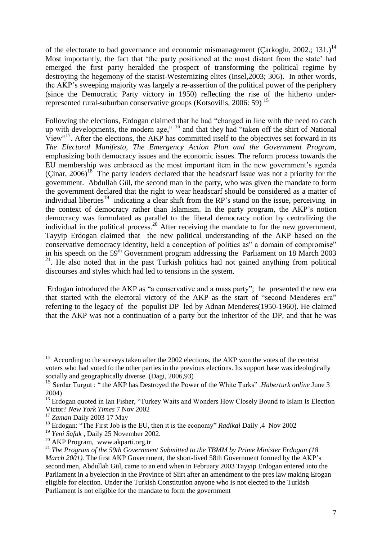of the electorate to bad governance and economic mismanagement (Carkoglu, 2002.; 131.)<sup>14</sup> Most importantly, the fact that 'the party positioned at the most distant from the state' had emerged the first party heralded the prospect of transforming the political regime by destroying the hegemony of the statist-Westernizing elites (Insel,2003; 306). In other words, the AKP"s sweeping majority was largely a re-assertion of the political power of the periphery (since the Democratic Party victory in 1950) reflecting the rise of the hitherto underrepresented rural-suburban conservative groups (Kotsovilis, 2006: 59) <sup>15</sup>

Following the elections, Erdogan claimed that he had "changed in line with the need to catch up with developments, the modern age," <sup>16</sup> and that they had "taken off the shirt of National View"<sup>17</sup>. After the elections, the AKP has committed itself to the objectives set forward in its *The Electoral Manifesto, The Emergency Action Plan and the Government Program,* emphasizing both democracy issues and the economic issues. The reform process towards the EU membership was embraced as the most important item in the new government's agenda (Cinar,  $2006$ )<sup>18</sup> The party leaders declared that the headscarf issue was not a priority for the government. Abdullah Gül, the second man in the party, who was given the mandate to form the government declared that the right to wear headscarf should be considered as a matter of individual liberties<sup>19</sup> indicating a clear shift from the RP's stand on the issue, perceiving in the context of democracy rather than Islamism. In the party program, the AKP"s notion democracy was formulated as parallel to the liberal democracy notion by centralizing the individual in the political process.<sup>20</sup> After receiving the mandate to for the new government, Tayyip Erdogan claimed that the new political understanding of the AKP based on the conservative democracy identity, held a conception of politics as" a domain of compromise" in his speech on the  $59<sup>th</sup>$  Government program addressing the Parliament on 18 March 2003 <sup>21</sup>. He also noted that in the past Turkish politics had not gained anything from political discourses and styles which had led to tensions in the system.

Erdogan introduced the AKP as "a conservative and a mass party"; he presented the new era that started with the electoral victory of the AKP as the start of "second Menderes era" referring to the legacy of the populist DP led by Adnan Menderes(1950-1960). He claimed that the AKP was not a continuation of a party but the inheritor of the DP, and that he was

 $14$  According to the surveys taken after the 2002 elections, the AKP won the votes of the centrist voters who had voted fo the other parties in the previous elections. Its support base was ideologically socially and geographically diverse. (Dagi, 2006,93)

<sup>&</sup>lt;sup>15</sup> Serdar Turgut : " the AKP has Destroyed the Power of the White Turks" .*Haberturk online* June 3 2004)

<sup>&</sup>lt;sup>16</sup> Erdogan quoted in Ian Fisher, "Turkey Waits and Wonders How Closely Bound to Islam Is Election Victor? *New York Times* 7 Nov 2002

<sup>17</sup> *Zaman* Daily 2003 17 May

<sup>&</sup>lt;sup>18</sup> Erdogan: "The First Job is the EU, then it is the economy" *Radikal* Daily ,4 Nov 2002

<sup>19</sup> *Yeni Safak* , Daily 25 November 2002.

<sup>20</sup> AKP Program, www.akparti.org.tr

<sup>&</sup>lt;sup>21</sup> The Program of the 59th Government Submitted to the TBMM by Prime Minister Erdogan (18 *March 2001*). The first AKP Government, the short-lived 58th Government formed by the AKP's second men, Abdullah Gül, came to an end when in February 2003 Tayyip Erdogan entered into the Parliament in a byelection in the Province of Siirt after an amendment to the pres law making Erogan eligible for election. Under the Turkish Constitution anyone who is not elected to the Turkish Parliament is not eligible for the mandate to form the government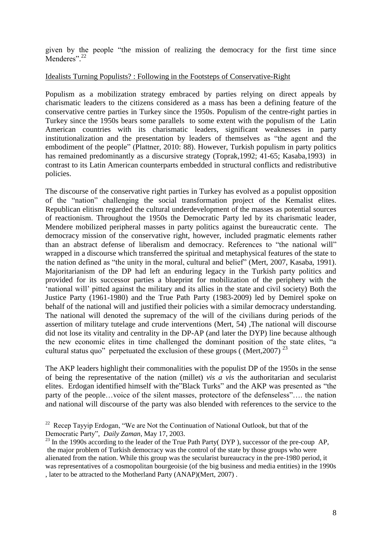given by the people "the mission of realizing the democracy for the first time since Menderes".<sup>22</sup>

## Idealists Turning Populists? : Following in the Footsteps of Conservative-Right

Populism as a mobilization strategy embraced by parties relying on direct appeals by charismatic leaders to the citizens considered as a mass has been a defining feature of the conservative centre parties in Turkey since the 1950s. Populism of the centre-right parties in Turkey since the 1950s bears some parallels to some extent with the populism of the Latin American countries with its charismatic leaders, significant weaknesses in party institutionalization and the presentation by leaders of themselves as "the agent and the embodiment of the people" (Plattner, 2010: 88). However, Turkish populism in party politics has remained predominantly as a discursive strategy (Toprak,1992; 41-65; Kasaba,1993) in contrast to its Latin American counterparts embedded in structural conflicts and redistributive policies.

The discourse of the conservative right parties in Turkey has evolved as a populist opposition of the "nation" challenging the social transformation project of the Kemalist elites. Republican elitism regarded the cultural underdevelopment of the masses as potential sources of reactionism. Throughout the 1950s the Democratic Party led by its charismatic leader, Mendere mobilized peripheral masses in party politics against the bureaucratic cente. The democracy mission of the conservative right, however, included pragmatic elements rather than an abstract defense of liberalism and democracy. References to "the national will" wrapped in a discourse which transferred the spiritual and metaphysical features of the state to the nation defined as "the unity in the moral, cultural and belief" (Mert, 2007, Kasaba, 1991). Majoritarianism of the DP had left an enduring legacy in the Turkish party politics and provided for its successor parties a blueprint for mobilization of the periphery with the "national will" pitted against the military and its allies in the state and civil society) Both the Justice Party (1961-1980) and the True Path Party (1983-2009) led by Demirel spoke on behalf of the national will and justified their policies with a similar democracy understanding. The national will denoted the supremacy of the will of the civilians during periods of the assertion of military tutelage and crude interventions (Mert, 54) ,The national will discourse did not lose its vitality and centrality in the DP-AP (and later the DYP) line because although the new economic elites in time challenged the dominant position of the state elites, "a cultural status quo" perpetuated the exclusion of these groups ( $(Mert, 2007)^{23}$ 

The AKP leaders highlight their commonalities with the populist DP of the 1950s in the sense of being the representative of the nation (millet) *vis a vis* the authoritarian and secularist elites. Erdogan identified himself with the"Black Turks" and the AKP was presented as "the party of the people…voice of the silent masses, protectore of the defenseless"…. the nation and national will discourse of the party was also blended with references to the service to the

<sup>&</sup>lt;sup>22</sup> Recep Tayyip Erdogan, "We are Not the Continuation of National Outlook, but that of the Democratic Party", *Daily Zaman*, May 17, 2003.

 $^{23}$  In the 1990s according to the leader of the True Path Party( DYP), successor of the pre-coup AP, the major problem of Turkish democracy was the control of the state by those groups who were alienated from the nation. While this group was the secularist bureaucracy in the pre-1980 period, it was representatives of a cosmopolitan bourgeoisie (of the big business and media entities) in the 1990s , later to be attracted to the Motherland Party (ANAP)(Mert, 2007) .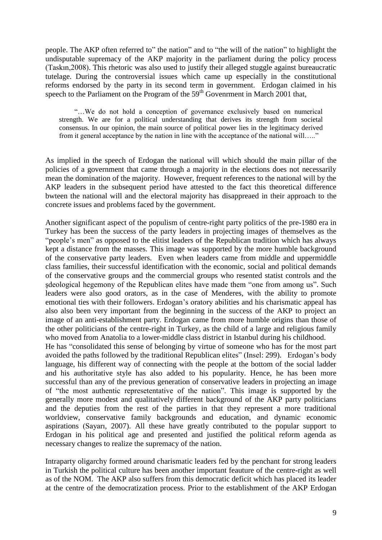people. The AKP often referred to" the nation" and to "the will of the nation" to highlight the undisputable supremacy of the AKP majority in the parliament during the policy process (Taskın,2008). This rhetoric was also used to justify their alleged stuggle against bureaucratic tutelage. During the controversial issues which came up especially in the constitutional reforms endorsed by the party in its second term in government. Erdogan claimed in his speech to the Parliament on the Program of the  $59<sup>th</sup>$  Govenrment in March 2001 that,

"…We do not hold a conception of governance exclusively based on numerical strength. We are for a political understanding that derives its strength from societal consensus. In our opinion, the main source of political power lies in the legitimacy derived from it general acceptance by the nation in line with the acceptance of the national will….."

As implied in the speech of Erdogan the national will which should the main pillar of the policies of a government that came through a majority in the elections does not necessarily mean the domination of the majority. However, frequent references to the national will by the AKP leaders in the subsequent period have attested to the fact this theoretical difference bwteen the national will and the electoral majority has disappreaed in their approach to the concrete issues and problems faced by the government.

Another significant aspect of the populism of centre-right party politics of the pre-1980 era in Turkey has been the success of the party leaders in projecting images of themselves as the "people's men" as opposed to the elitist leaders of the Republican tradition which has always kept a distance from the masses. This image was supported by the more humble background of the conservative party leaders. Even when leaders came from middle and uppermiddle class families, their successful identification with the economic, social and political demands of the conservative groups and the commercial groups who resented statist controls and the şdeological hegemony of the Republican elites have made them "one from among us". Such leaders were also good orators, as in the case of Menderes, with the ability to promote emotional ties with their followers. Erdogan's oratory abilities and his charismatic appeal has also also been very important from the beginning in the success of the AKP to project an image of an anti-establishment party. Erdogan came from more humble origins than those of the other politicians of the centre-right in Turkey, as the child of a large and religious family who moved from Anatolia to a lower-middle class district in Istanbul during his childhood.

He has "consolidated this sense of belonging by virtue of someone who has for the most part avoided the paths followed by the traditional Republican elites" (Insel: 299). Erdogan"s body language, his different way of connecting with the people at the bottom of the social ladder and his authoritative style has also added to his popularity. Hence, he has been more successful than any of the previous generation of conservative leaders in projecting an image of "the most authentic represetentative of the nation". This image is supported by the generally more modest and qualitatively different background of the AKP party politicians and the deputies from the rest of the parties in that they represent a more traditional worldview, conservative family backgrounds and education, and dynamic economic aspirations (Sayarı, 2007). All these have greatly contributed to the popular support to Erdogan in his political age and presented and justified the political reform agenda as necessary changes to realize the supremacy of the nation.

Intraparty oligarchy formed around charismatic leaders fed by the penchant for strong leaders in Turkish the political culture has been another important feauture of the centre-right as well as of the NOM. The AKP also suffers from this democratic deficit which has placed its leader at the centre of the democratization process. Prior to the establishment of the AKP Erdogan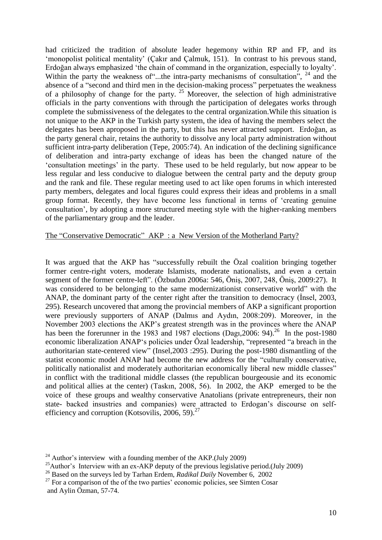had criticized the tradition of absolute leader hegemony within RP and FP, and its 'monopolist political mentality' (Cakır and Calmuk, 151). In contrast to his prevous stand, Erdoğan always emphasized "the chain of command in the organization, especially to loyalty". Within the party the weakness of "...the intra-party mechanisms of consultation", <sup>24</sup> and the absence of a "second and third men in the decision-making process" perpetuates the weakness of a philosophy of change for the party.  $25$  Moreover, the selection of high administrative officials in the party conventions with through the participation of delegates works through complete the submissiveness of the delegates to the central organization.While this situation is not unique to the AKP in the Turkish party system, the idea of having the members select the delegates has been aproposed in the party, but this has never attracted support. Erdoğan, as the party general chair, retains the authority to dissolve any local party administration without sufficient intra-party deliberation (Tepe, 2005:74). An indication of the declining significance of deliberation and intra-party exchange of ideas has been the changed nature of the "consultation meetings" in the party. These used to be held regularly, but now appear to be less regular and less conducive to dialogue between the central party and the deputy group and the rank and file. These regular meeting used to act like open forums in which interested party members, delegates and local figures could express their ideas and problems in a small group format. Recently, they have become less functional in terms of "creating genuine consultation", by adopting a more structured meeting style with the higher-ranking members of the parliamentary group and the leader.

## The "Conservative Democratic" AKP : a New Version of the Motherland Party?

It was argued that the AKP has "successfully rebuilt the Özal coalition bringing together former centre-right voters, moderate Islamists, moderate nationalists, and even a certain segment of the former centre-left". (Özbudun 2006a: 546, Öniş, 2007, 248, Öniş, 2009:27). It was considered to be belonging to the same modernizationist conservative world" with the ANAP, the dominant party of the center right after the transition to democracy (İnsel, 2003, 295). Research uncovered that among the provincial members of AKP a significant proportion were previously supporters of ANAP (Dalmıs and Aydın, 2008:209). Moreover, in the November 2003 elections the AKP"s greatest strength was in the provinces where the ANAP has been the forerunner in the 1983 and 1987 elections (Dag1, 2006: 94).<sup>26</sup> In the post-1980 economic liberalization ANAP"s policies under Özal leadership, "represented "a breach in the authoritarian state-centered view" (Insel,2003 :295). During the post-1980 dismantling of the statist economic model ANAP had become the new address for the "culturally conservative, politically nationalist and moderately authoritarian economically liberal new middle classes" in conflict with the traditional middle classes (the republican bourgeousie and its economic and political allies at the center) (Taskın, 2008, 56). In 2002, the AKP emerged to be the voice of these groups and wealthy conservative Anatolians (private entrepreneurs, their non state- backed insustries and companies) were attracted to Erdogan"s discourse on selfefficiency and corruption (Kotsovilis, 2006, 59). $^{27}$ 

<sup>&</sup>lt;sup>24</sup> Author's interview with a founding member of the AKP.(July 2009)

<sup>&</sup>lt;sup>25</sup>Author's Interview with an ex-AKP deputy of the previous legislative period.(July 2009)

<sup>26</sup> Based on the surveys led by Tarhan Erdem, *Radikal Daily* November 6, 2002

 $27$  For a comparison of the of the two parties' economic policies, see Simten Cosar and Aylin Özman, 57-74.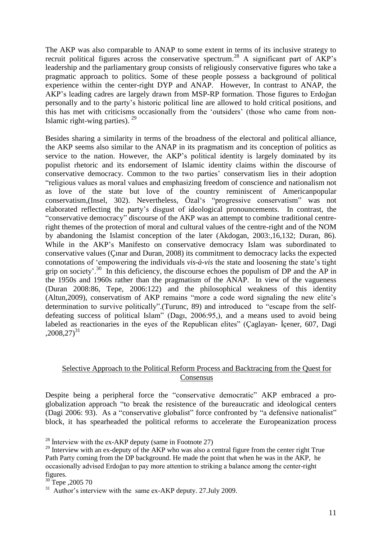The AKP was also comparable to ANAP to some extent in terms of its inclusive strategy to recruit political figures across the conservative spectrum.<sup>28</sup> A significant part of AKP's leadership and the parliamentary group consists of religiously conservative figures who take a pragmatic approach to politics. Some of these people possess a background of political experience within the center-right DYP and ANAP. However, In contrast to ANAP, the AKP"s leading cadres are largely drawn from MSP-RP formation. Those figures to Erdoğan personally and to the party"s historic political line are allowed to hold critical positions, and this has met with criticisms occasionally from the "outsiders" (those who came from non-Islamic right-wing parties).  $29$ 

Besides sharing a similarity in terms of the broadness of the electoral and political alliance, the AKP seems also similar to the ANAP in its pragmatism and its conception of politics as service to the nation. However, the AKP's political identity is largely dominated by its populist rhetoric and its endorsement of Islamic identity claims within the discourse of conservative democracy. Common to the two parties" conservatism lies in their adoption "religious values as moral values and emphasizing freedom of conscience and nationalism not as love of the state but love of the country reminiscent of Americanpopular conservatism,(Insel, 302). Nevertheless, Özal"s "progressive conservatism" was not elaborated reflecting the party"s disgust of ideological pronouncements. In contrast, the "conservative democracy" discourse of the AKP was an attempt to combine traditional centreright themes of the protection of moral and cultural values of the centre-right and of the NOM by abandoning the Islamist conception of the later (Akdogan, 2003:,16,132; Duran, 86). While in the AKP's Manifesto on conservative democracy Islam was subordinated to conservative values (Çınar and Duran, 2008) its commitment to democracy lacks the expected connotations of "empowering the individuals *vis-à-vis* the state and loosening the state"s tight grip on society'.<sup>30</sup> In this deficiency, the discourse echoes the populism of DP and the AP in the 1950s and 1960s rather than the pragmatism of the ANAP. In view of the vagueness (Duran 2008:86, Tepe, 2006:122) and the philosophical weakness of this identity (Altun,2009), conservatism of AKP remains "more a code word signaling the new elite"s determination to survive politically".(Turunc, 89) and introduced to "escape from the selfdefeating success of political Islam" (Dagı, 2006:95,), and a means used to avoid being labeled as reactionaries in the eyes of the Republican elites" (Çaglayan- İçener, 607, Dagi  $,2008,27)^{31}$ 

## Selective Approach to the Political Reform Process and Backtracing from the Quest for Consensus

Despite being a peripheral force the "conservative democratic" AKP embraced a proglobalization approach "to break the resistence of the bureaucratic and ideological centers (Dagi 2006: 93). As a "conservative globalist" force confronted by "a defensive nationalist" block, it has spearheaded the political reforms to accelerate the Europeanization process

<sup>&</sup>lt;sup>28</sup> Interview with the ex-AKP deputy (same in Footnote 27)

 $29$  Interview with an ex-deputy of the AKP who was also a central figure from the center right True Path Party coming from the DP background. He made the point that when he was in the AKP, he occasionally advised Erdoğan to pay more attention to striking a balance among the center-right figures.

<sup>&</sup>lt;sup>30</sup> Tepe ,2005 70

<sup>&</sup>lt;sup>31</sup> Author's interview with the same ex-AKP deputy. 27.July 2009.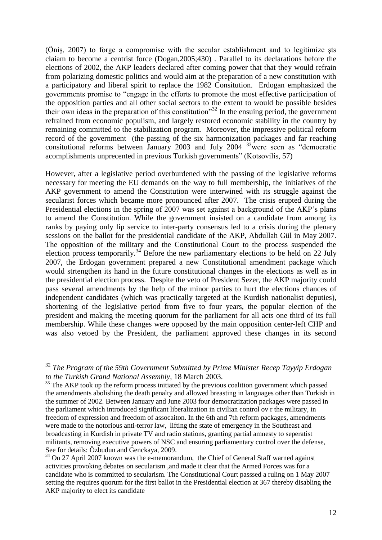(Öniş, 2007) to forge a compromise with the secular establishment and to legitimize şts claiam to become a centrist force (Dogan,2005;430) . Parallel to its declarations before the elections of 2002, the AKP leaders declared after coming power that that they would refrain from polarizing domestic politics and would aim at the preparation of a new constitution with a participatory and liberal spirit to replace the 1982 Consitution. Erdogan emphasized the governments promise to "engage in the efforts to promote the most effective participation of the opposition parties and all other social sectors to the extent to would be possible besides their own ideas in the preparation of this constitution<sup>33</sup> In the ensuing period, the government refrained from economic populism, and largely restored economic stability in the country by remaining committed to the stabilization program. Moreover, the impressive political reform record of the government (the passing of the six harmonization packages and far reaching consitutional reforms between January 2003 and July 2004  $33\overline{\phantom{a}}$  were seen as "democratic acomplishments unprecented in previous Turkish governments" (Kotsovilis, 57)

However, after a legislative period overburdened with the passing of the legislative reforms necessary for meeting the EU demands on the way to full membership, the initiatives of the AKP government to amend the Constitution were interwined with its struggle against the secularist forces which became more pronounced after 2007. The crisis erupted during the Presidential elections in the spring of 2007 was set against a background of the AKP's plans to amend the Constitution. While the government insisted on a candidate from among its ranks by paying only lip service to inter-party consensus led to a crisis during the plenary sessions on the ballot for the presidential candidate of the AKP, Abdullah Gül in May 2007. The opposition of the military and the Constitutional Court to the process suspended the election process temporarily.<sup>34</sup> Before the new parliamentary elections to be held on 22 July 2007, the Erdogan government prepared a new Constitutional amendment package which would strtengthen its hand in the future constitutional changes in the elections as well as in the presidential election process. Despite the veto of President Sezer, the AKP majority could pass several amendments by the help of the minor parties to hurt the elections chances of independent candidates (which was practically targeted at the Kurdish nationalist deputies), shortening of the legislative period from five to four years, the popular election of the president and making the meeting quorum for the parliament for all acts one third of its full membership. While these changes were opposed by the main opposition center-left CHP and was also vetoed by the President, the parliament approved these changes in its second

<sup>33</sup> The AKP took up the reform process initiated by the previous coalition government which passed the amendments abolishing the death penalty and allowed breasting in languages other than Turkish in the summer of 2002. Between January and June 2003 four democratization packages were passed in the parliament which introduced significant liberalization in civilian control ov r the military, in freedom of expression and freedom of assocaiton. In the 6th and 7th reform packages, amendments were made to the notorious anti-terror law, lifting the state of emergency in the Southeast and broadcasting in Kurdish in private TV and radio stations, granting partial amnesty to seperatist militants, removing executive powers of NSC and ensuring parliamentary control over the defense, See for details: Özbudun and Genckaya, 2009.

<sup>34</sup> On 27 April 2007 known was the e-memorandum, the Chief of General Staff warned against activities provoking debates on secularism ,and made it clear that the Armed Forces was for a candidate who is committed to secularism. The Constitutional Court passsed a ruling on 1 May 2007 setting the requires quorum for the first ballot in the Presidential election at 367 thereby disabling the AKP majority to elect its candidate

<sup>32</sup> *The Program of the 59th Government Submitted by Prime Minister Recep Tayyip Erdogan to the Turkish Grand National Assembly,* 18 March 2003.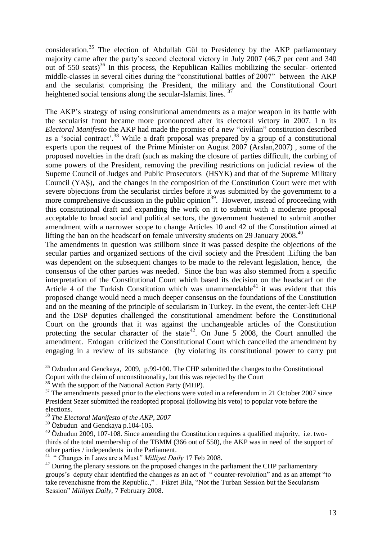consideration.<sup>35</sup> The election of Abdullah Gül to Presidency by the AKP parliamentary majority came after the party"s second electoral victory in July 2007 (46,7 per cent and 340 out of  $550$  seats)<sup>36</sup> In this process, the Republican Rallies mobilizing the secular- oriented middle-classes in several cities during the "constitutional battles of 2007" between the AKP and the secularist comprising the President, the military and the Constitutional Court heightened social tensions along the secular-Islamist lines.<sup>37</sup>

The AKP"s strategy of using consitutional amendments as a major weapon in its battle with the secularist front became more pronounced after its electoral victory in 2007. I n its *Electoral Manifesto* the AKP had made the promise of a new "civilian" constitution described as a 'social contract'.<sup>38</sup> While a draft proposal was prepared by a group of a constitutional experts upon the request of the Prime Minister on August 2007 (Arslan,2007) , some of the proposed novelties in the draft (such as making the closure of parties difficult, the curbing of some powers of the President, removing the previling restrictions on judicial review of the Supeme Council of Judges and Public Prosecutors (HSYK) and that of the Supreme Military Council (YAŞ), and the changes in the composition of the Constitution Court were met with severe objections from the secularist circles before it was submitted by the governmemt to a more comprehensive discussion in the public opinion<sup>39</sup>. However, instead of proceeding with this consitutional draft and expanding the work on it to submit with a moderate proposal acceptable to broad social and political sectors, the government hastened to submit another amendment with a narrower scope to change Articles 10 and 42 of the Constitution aimed at lifting the ban on the headscarf on female university students on 29 January 2008.<sup>40</sup>

The amendments in question was stillborn since it was passed despite the objections of the secular parties and organized sections of the civil society and the President .Lifting the ban was dependent on the subsequent changes to be made to the relevant legislation, hence, the consensus of the other parties was needed. Since the ban was also stemmed from a specific interpretation of the Constitutional Court which based its decision on the headscarf on the Article 4 of the Turkish Constitution which was unammendable<sup>41</sup> it was evident that this proposed change would need a much deeper consensus on the foundations of the Constitution and on the meaning of the principle of secularism in Turkey. In the event, the center-left CHP and the DSP deputies challenged the constitutional amendment before the Constitutional Court on the grounds that it was against the unchangeable articles of the Constitution protecting the secular character of the state<sup>42</sup>. On June 5 2008, the Court annulled the amendment. Erdogan criticized the Constitutional Court which cancelled the amendment by engaging in a review of its substance (by violating its constitutional power to carry put

 $35$  Ozbudun and Genckaya, 2009, p.99-100. The CHP submitted the changes to the Constitutional Copurt with the claim of unconstituonality, but this was rejected by the Court

 $36$  With the support of the National Action Party (MHP).

 $37$  The amendments passed prior to the elections were voted in a referendum in 21 October 2007 since President Sezer submitted the readopted proposal (following his veto) to popular vote before the elections.

<sup>38</sup> *The Electoral Manifesto of the AKP, 2007*

 $39 \text{ Özbudun}$  and Genckaya p.104-105.

 $40$  Özbudun 2009, 107-108. Since amending the Constitution requires a qualified majority, i.e. twothirds of the total membership of the TBMM (366 out of 550), the AKP was in need of the support of other parties / independents in the Parliament.

<sup>41</sup> " Changes in Laws are a Must" Milliyet Daily 17 Feb 2008.

 $^{42}$  During the plenary sessions on the proposed changes in the parliament the CHP parliamentary groups"s deputy chair identified the changes as an act of " counter-revolution" and as an attempt "to take revenchisme from the Republic.," . Fikret Bila, "Not the Turban Session but the Secularism Session" *Milliyet Daily*, 7 February 2008.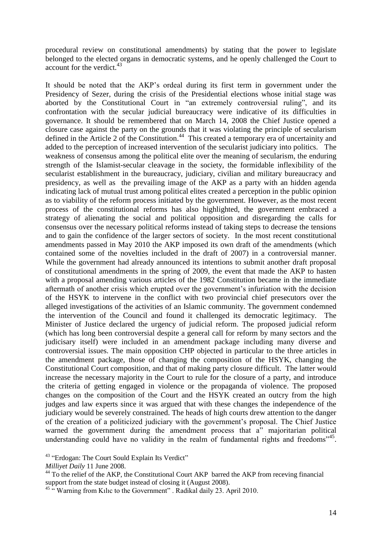procedural review on constitutional amendments) by stating that the power to legislate belonged to the elected organs in democratic systems, and he openly challenged the Court to account for the verdict.<sup>43</sup>

It should be noted that the AKP"s ordeal during its first term in government under the Presidency of Sezer, during the crisis of the Presidential elections whose initial stage was aborted by the Constitutional Court in "an extremely controversial ruling", and its confrontation with the secular judicial bureaucracy were indicative of its difficulties in governance. It should be remembered that on March 14, 2008 the Chief Justice opened a closure case against the party on the grounds that it was violating the principle of secularism defined in the Article 2 of the Constitution.<sup>44</sup> This created a temporary era of uncertainity and added to the perception of increased intervention of the secularist judiciary into politics. The weakness of consensus among the political elite over the meaning of secularism, the enduring strength of the Islamist-secular cleavage in the society, the formidable inflexibility of the secularist establishment in the bureaucracy, judiciary, civilian and military bureaucracy and presidency, as well as the prevailing image of the AKP as a party with an hidden agenda indicating lack of mutual trust among political elites created a perception in the public opinion as to viability of the reform process initiated by the government. However, as the most recent process of the constitutional reforms has also highlighted, the government embraced a strategy of alienating the social and political opposition and disregarding the calls for consensus over the necessary political reforms instead of taking steps to decrease the tensions and to gain the confidence of the larger sectors of society. In the most recent constitutional amendments passed in May 2010 the AKP imposed its own draft of the amendments (which contained some of the novelties included in the draft of 2007) in a controversial manner. While the government had already announced its intentions to submit another draft proposal of constitutional amendments in the spring of 2009, the event that made the AKP to hasten with a proposal amending various articles of the 1982 Constitution became in the immediate aftermath of another crisis which erupted over the government's infuriation with the decision of the HSYK to intervene in the conflict with two provincial chief presecutors over the alleged investigations of the activities of an Islamic community. The government condemned the intervention of the Council and found it challenged its democratic legitimacy. The Minister of Justice declared the urgency of judicial reform. The proposed judicial reform (which has long been controversial despite a general call for reform by many sectors and the judicisary itself) were included in an amendment package including many diverse and controversial issues. The main opposition CHP objected in particular to the three articles in the amendment package, those of changing the composition of the HSYK, changing the Constitutional Court composition, and that of making party closure difficult. The latter would increase the necessary majority in the Court to rule for the closure of a party, and introduce the criteria of getting engaged in violence or the propaganda of violence. The proposed changes on the composition of the Court and the HSYK created an outcry from the high judges and law experts since it was argued that with these changes the independence of the judiciary would be severely constrained. The heads of high courts drew attention to the danger of the creation of a politicized judiciary with the government"s proposal. The Chief Justice warned the government during the amendment process that a" majoritarian political understanding could have no validity in the realm of fundamental rights and freedoms"<sup>45</sup>.

<sup>&</sup>lt;sup>43</sup> "Erdogan: The Court Sould Explain Its Verdict"

*Milliyet Daily* 11 June 2008.

<sup>&</sup>lt;sup>44</sup> To the relief of the AKP, the Constitutional Court AKP barred the AKP from receving financial support from the state budget instead of closing it (August 2008).

<sup>&</sup>lt;sup>45 "</sup> Warning from Kılıc to the Government" . Radikal daily 23. April 2010.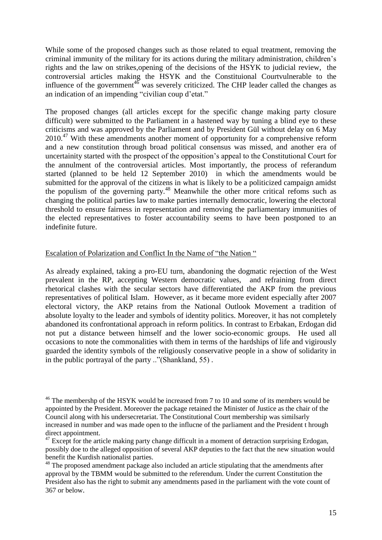While some of the proposed changes such as those related to equal treatment, removing the criminal immunity of the military for its actions during the military administration, children"s rights and the law on strikes,opening of the decisions of the HSYK to judicial review, the controversial articles making the HSYK and the Constituional Courtvulnerable to the influence of the government<sup>46</sup> was severely criticized. The CHP leader called the changes as an indication of an impending "civilian coup d"etat."

The proposed changes (all articles except for the specific change making party closure difficult) were submitted to the Parliament in a hastened way by tuning a blind eye to these criticisms and was approved by the Parliament and by President Gül without delay on 6 May 2010.<sup>47</sup> With these amendments another moment of opportunity for a comprehensive reform and a new constitution through broad political consensus was missed, and another era of uncertainity started with the prospect of the opposition"s appeal to the Constitutional Court for the annulment of the controversial articles. Most importantly, the process of referandum started (planned to be held 12 September 2010) in which the amendments would be submitted for the approval of the citizens in what is likely to be a politicized campaign amidst the populism of the governing party.<sup>48</sup> Meanwhile the other more critical refoms such as changing the political parties law to make parties internally democratic, lowering the electoral threshold to ensure fairness in representation and removing the parliamentary immunities of the elected representatives to foster accountability seems to have been postponed to an indefinite future.

## Escalation of Polarization and Conflict In the Name of "the Nation "

As already explained, taking a pro-EU turn, abandoning the dogmatic rejection of the West prevalent in the RP, accepting Western democratic values, and refraining from direct rhetorical clashes with the secular sectors have differentiated the AKP from the previous representatives of political Islam. However, as it became more evident especially after 2007 electoral victory, the AKP retains from the National Outlook Movement a tradition of absolute loyalty to the leader and symbols of identity politics. Moreover, it has not completely abandoned its confrontational approach in reform politics. In contrast to Erbakan, Erdogan did not put a distance between himself and the lower socio-economic groups. He used all occasions to note the commonalities with them in terms of the hardships of life and vigirously guarded the identity symbols of the religiously conservative people in a show of solidarity in in the public portrayal of the party .."(Shankland, 55) .

 $46$  The membershp of the HSYK would be increased from 7 to 10 and some of its members would be appointed by the President. Moreover the package retained the Minister of Justice as the chair of the Council along with his undersecretariat. The Constitutional Court membership was similsarly increased in number and was made open to the influcne of the parliament and the President t hrough direct appointment.

 $^{47}$  Except for the article making party change difficult in a moment of detraction surprising Erdogan, possibly doe to the alleged opposition of several AKP deputies to the fact that the new situation would benefit the Kurdish nationalist parties.

<sup>&</sup>lt;sup>48</sup> The proposed amendment package also included an article stipulating that the amendments after approval by the TBMM would be submitted to the referendum. Under the current Constitution the President also has the right to submit any amendments pased in the parliament with the vote count of 367 or below.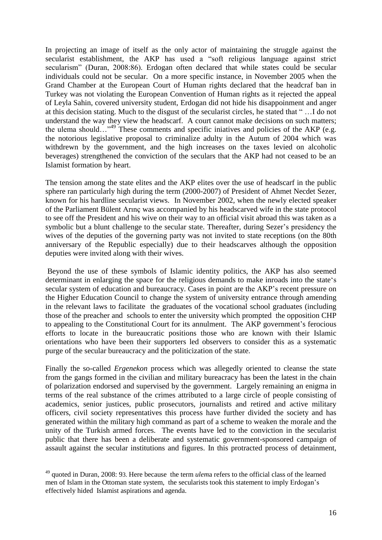In projecting an image of itself as the only actor of maintaining the struggle against the secularist establishment, the AKP has used a "soft religious language against strict secularism" (Duran, 2008:86). Erdogan often declared that while states could be secular individuals could not be secular. On a more specific instance, in November 2005 when the Grand Chamber at the European Court of Human rights declared that the headcraf ban in Turkey was not violating the European Convention of Human rights as it rejected the appeal of Leyla Sahin, covered university student, Erdogan did not hide his disappoinment and anger at this decision stating. Much to the disgust of the secularist circles, he stated that " …I do not understand the way they view the headscarf. A court cannot make decisions on such matters; the ulema should…"<sup>49</sup> These comments and specific iniatives and policies of the AKP (e.g. the notorious legislative proposal to criminalize adulty in the Autum of 2004 which was withdrewn by the government, and the high increases on the taxes levied on alcoholic beverages) strengthened the conviction of the seculars that the AKP had not ceased to be an Islamist formation by heart.

The tension among the state elites and the AKP elites over the use of headscarf in the public sphere ran particularly high during the term (2000-2007) of President of Ahmet Necdet Sezer, known for his hardline secularist views. In November 2002, when the newly elected speaker of the Parliament Bülent Arınç was accompanied by his headscarved wife in the state protocol to see off the President and his wive on their way to an official visit abroad this was taken as a symbolic but a blunt challenge to the secular state. Thereafter, during Sezer's presidency the wives of the deputies of the governing party was not invited to state receptions (on the 80th anniversary of the Republic especially) due to their headscarves although the opposition deputies were invited along with their wives.

Beyond the use of these symbols of Islamic identity politics, the AKP has also seemed determinant in enlarging the space for the religious demands to make inroads into the state"s secular system of education and bureaucracy. Cases in point are the AKP"s recent pressure on the Higher Education Council to change the system of university entrance through amending in the relevant laws to facilitate the graduates of the vocational school graduates (including those of the preacher and schools to enter the university which prompted the opposition CHP to appealing to the Constitutional Court for its annulment. The AKP government's ferocious efforts to locate in the bureaucratic positions those who are known with their Islamic orientations who have been their supporters led observers to consider this as a systematic purge of the secular bureaucracy and the politicization of the state.

Finally the so-called *Ergenekon* process which was allegedly oriented to cleanse the state from the gangs formed in the civilian and military bureacracy has been the latest in the chain of polarization endorsed and supervised by the government. Largely remaining an enigma in terms of the real substance of the crimes attributed to a large circle of people consisting of academics, senior justices, public prosecutors, journalists and retired and active military officers, civil society representatives this process have further divided the society and has generated within the military high command as part of a scheme to weaken the morale and the unity of the Turkish armed forces. The events have led to the conviction in the secularist public that there has been a deliberate and systematic government-sponsored campaign of assault against the secular institutions and figures. In this protracted process of detainment,

<sup>49</sup> quoted in Duran, 2008: 93. Here because the term *ulem*a refers to the official class of the learned men of Islam in the Ottoman state system, the secularists took this statement to imply Erdogan"s effectively hided Islamist aspirations and agenda.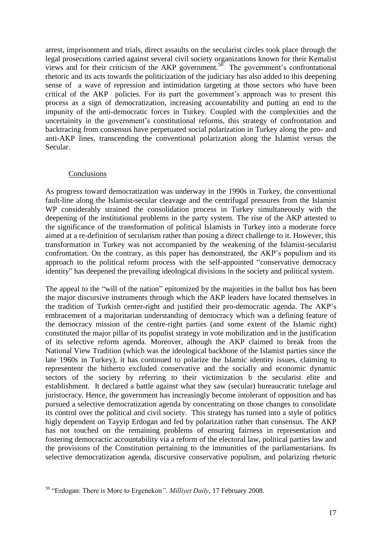arrest, imprisonment and trials, direct assaults on the secularist circles took place through the legal prosecutions carried against several civil society organizations known for their Kemalist views and for their criticism of the AKP government.<sup>50</sup> The government's confrontational rhetoric and its acts towards the politicization of the judiciary has also added to this deepening sense of a wave of repression and intimidation targeting at those sectors who have been critical of the AKP policies. For its part the government"s approach was to present this process as a sign of democratization, increasing accountability and putting an end to the impunity of the anti-democratic forces in Turkey. Coupled with the complexities and the uncertainity in the government's constitutional reforms, this strategy of confrontation and backtracing from consensus have perpetuated social polarization in Turkey along the pro- and anti-AKP lines, transcending the conventional polarization along the Islamist versus the Secular.

## Conclusions

As progress toward democratization was underway in the 1990s in Turkey, the conventional fault-line along the Islamist-secular cleavage and the centrifugal pressures from the Islamist WP considerably strained the consolidation process in Turkey simultaneously with the deepening of the institutional problems in the party system. The rise of the AKP attested to the significance of the transformation of political Islamists in Turkey into a moderate force aimed at a re-definition of secularism rather than posing a direct challenge to it. However, this transformation in Turkey was not accompanied by the weakening of the Islamist-secularist confrontation. On the contrary, as this paper has demonstrated, the AKP"s populism and its approach to the political reform process with the self-appointed "conservative democracy identity" has deepened the prevailing ideological divisions in the society and political system.

The appeal to the "will of the nation" epitomized by the majorities in the ballot box has been the major discursive instruments through which the AKP leaders have located themselves in the tradition of Turkish center-right and justified their pro-democratic agenda. The AKP"s embracement of a majoritarian understanding of democracy which was a defining feature of the democracy mission of the centre-right parties (and some extent of the Islamic right) constituted the major pillar of its populist strategy in vote mobilization and in the justification of its selective reform agenda. Moreover, alhough the AKP claimed to break from the National View Tradition (which was the ideological backbone of the Islamist parties since the late 1960s in Turkey), it has continued to polarize the Islamic identity issues, claiming to representenr the hitherto excluded conservative and the socially and economic dynamic sectors of the society by referring to their victimization b the secularist elite and establishment. It declared a battle against what they saw (secular) bureaucratic tutelage and juristocracy. Hence, the government has increasingly become intolerant of opposition and has pursued a selective democratization agenda by concentrating on those changes to consolidate its control over the political and civil society. This strategy has turned into a style of politics higly dependent on Tayyip Erdogan and fed by polarization rather than consensus. The AKP has not touched on the remaining problems of ensuring fairness in representation and fostering democractic accountability via a reform of the electoral law, political parties law and the provisions of the Constitution pertaining to the immunities of the parliamentarians. Its selective democratization agenda, discursive conservative populism, and polarizing rhetoric

<sup>50</sup> "Erdogan: There is More to Ergenekon*". Milliyet Daily*, 17 February 2008.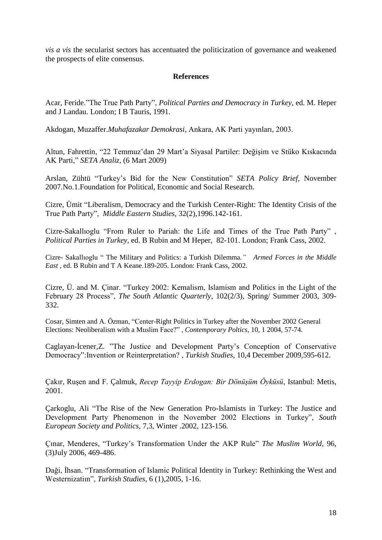*vis a vis* the secularist sectors has accentuated the politicization of governance and weakened the prospects of elite consensus.

## **References**

Acar, Feride."The True Path Party", *Political Parties and Democracy in Turkey*, ed. M. Heper and J Landau. London; I B Tauris, 1991.

Akdogan, Muzaffer.*Muhafazakar Demokrasi*, Ankara, AK Parti yayınları, 2003.

Altun, Fahrettin, "22 Temmuz"dan 29 Mart"a Siyasal Partiler: Değişim ve Stüko Kıskacında AK Parti," *SETA Analiz,* (6 Mart 2009)

Arslan, Zühtü "Turkey"s Bid for the New Constitution" *SETA Policy Brief*, November 2007.No.1.Foundation for Political, Economic and Social Research.

Cizre, Ümit "Liberalism, Democracy and the Turkish Center-Right: The Identity Crisis of the True Path Party", *Middle Eastern Studies*, 32(2),1996.142-161.

Cizre-Sakallıoglu "From Ruler to Pariah: the Life and Times of the True Path Party" , *Political Parties in Turkey*, ed. B Rubin and M Heper, 82-101. London; Frank Cass, 2002.

Cizre- Sakallıoglu " The Military and Politics: a Turkish Dilemma*." Armed Forces in the Middle East* , ed. B Rubin and T A Keane.189-205. London: Frank Cass, 2002.

Cizre, Ü. and M. Çinar. "Turkey 2002: Kemalism, Islamism and Politics in the Light of the February 28 Process", *The South Atlantic Quarterly*, 102(2/3), Spring/ Summer 2003, 309- 332.

Cosar, Simten and A. Özman, "Center-Right Politics in Turkey after the November 2002 General Elections: Neoliberalism with a Muslim Face?" , *Contemporary Poltics,* 10, 1 2004, 57-74.

Caglayan-İcener,Z. "The Justice and Development Party"s Conception of Conservative Democracy":Invention or Reinterpretation? , *Turkish Studies,* 10,4 December 2009,595-612.

Çakır, Ruşen and F. Çalmuk, *Recep Tayyip Erdogan: Bir Dönüşüm Öyküsü*, Istanbul: Metis, 2001.

Çarkoglu, Ali "The Rise of the New Generation Pro-Islamists in Turkey: The Justice and Development Party Phenomenon in the November 2002 Elections in Turkey", *South European Society and Politics,* 7,3, Winter .2002, 123-156.

Çınar, Menderes, "Turkey"s Transformation Under the AKP Rule" *The Muslim World*, 96, (3)July 2006, 469-486.

Daği, İhsan. "Transformation of Islamic Political Identity in Turkey: Rethinking the West and Westernizatiın", *Turkish Studies*, 6 (1),2005, 1-16.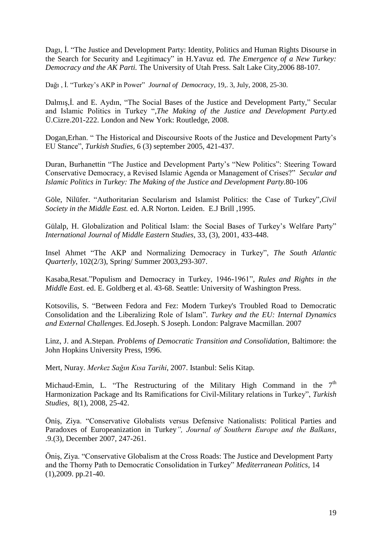Dagı, İ. "The Justice and Development Party: Identity, Politics and Human Rights Disourse in the Search for Security and Legitimacy" in H.Yavuz ed*. The Emergence of a New Turkey: Democracy and the AK Parti.* The University of Utah Press. Salt Lake City,2006 88-107*.*

Dağı , İ. "Turkey"s AKP in Power" *Journal of Democracy*, 19,. 3, July, 2008, 25-30.

Dalmış,İ. and E. Aydın, "The Social Bases of the Justice and Development Party," Secular and Islamic Politics in Turkey ",*The Making of the Justice and Development Party*.ed Ü.Cizre.201-222. London and New York: Routledge, 2008.

Dogan,Erhan. " The Historical and Discoursive Roots of the Justice and Development Party"s EU Stance", *Turkish Studies,* 6 (3) september 2005, 421-437.

Duran, Burhanettin "The Justice and Development Party"s "New Politics": Steering Toward Conservative Democracy, a Revised Islamic Agenda or Management of Crises?" *Secular and Islamic Politics in Turkey: The Making of the Justice and Development Party.*80-106

Göle, Nilüfer. "Authoritarian Secularism and Islamist Politics: the Case of Turkey",*Civil Society in the Middle East.* ed. A.R Norton. Leiden. E.J Brill ,1995.

Gülalp, H. Globalization and Political Islam: the Social Bases of Turkey"s Welfare Party" *International Journal of Middle Eastern Studies*, 33, (3), 2001, 433-448.

Insel Ahmet "The AKP and Normalizing Democracy in Turkey", *The South Atlantic Quarterly*, 102(2/3), Spring/ Summer 2003,293-307.

Kasaba,Resat."Populism and Democracy in Turkey, 1946-1961", *Rules and Rights in the Middl*e *Eas*t. ed. E. Goldberg et al. 43-68. Seattle: University of Washington Press.

Kotsovilis, S. "Between Fedora and Fez: Modern Turkey's Troubled Road to Democratic Consolidation and the Liberalizing Role of Islam"*. Turkey and the EU: Internal Dynamics and External Challenges*. Ed.Joseph. S Joseph. London: Palgrave Macmillan. 2007

Linz, J. and A.Stepan. *Problems of Democratic Transition and Consolidation*, Baltimore: the John Hopkins University Press, 1996.

Mert, Nuray. *Merkez Sağın Kısa Tarihi*, 2007. Istanbul: Selis Kitap.

Michaud-Emin, L. "The Restructuring of the Military High Command in the  $7<sup>th</sup>$ Harmonization Package and Its Ramifications for Civil-Military relations in Turkey", *Turkish Studies,* 8(1), 2008, 25-42.

Öniş, Ziya. "Conservative Globalists versus Defensive Nationalists: Political Parties and Paradoxes of Europeanization in Turkey*", Journal of Southern Europe and the Balkans*, .9.(3), December 2007, 247-261.

Öniş, Ziya. "Conservative Globalism at the Cross Roads: The Justice and Development Party and the Thorny Path to Democratic Consolidation in Turkey" *Mediterranean Politics*, 14 (1),2009. pp.21-40.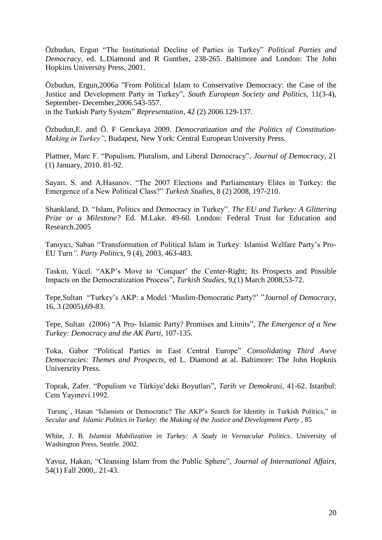Özbudun, Ergun "The Institutional Decline of Parties in Turkey" *Political Parties and Democracy,* ed. L.Diamond and R Gunther, 238-265. Baltimore and London: The John Hopkins University Press, 2001.

Özbudun, Ergun,2006a "From Political Islam to Conservative Democracy: the Case of the Justice and Development Party in Turkey", *South European Society and Politics*, 11(3-4), September- December,2006.543-557.

in the Turkish Party System" *Representation,* 42 (2) 2006.129-137.

Özbudun,E. and Ö. F Genckaya 2009. *Democratization and the Politics of Constitution-Making in Turkey",* Budapest, New York: Central European University Press.

Plattner, Marc F. "Populism, Pluralism, and Liberal Democracy", *Journal of Democracy,* 21 (1) January, 2010. 81-92.

Sayarı, S. and A.Hasanov. "The 2007 Elections and Parliamentary Elites in Turkey: the Emergence of a New Political Class?" *Turkish Studies*, 8 (2) 2008, 197-210.

Shankland, D. "Islam, Politics and Democracy in Turkey". *The EU and Turkey: A Glittering Prize or a Milestone?* Ed. M.Lake. 49-60. London: Federal Trust for Education and Research.2005

Tanıyıcı, Saban "Transformation of Political Islam in Turkey: Islamist Welfare Party"s Pro-EU Turn*", Party Politics*, 9 (4), 2003, 463-483.

Taskın, Yücel. "AKP"s Move to "Conquer" the Center-Right; Its Prospects and Possible Impacts on the Democratization Process", *Turkish Studies*, 9,(1) March 2008,53-72.

Tepe,Sultan "Turkey"s AKP: a Model "Muslim-Democratic Party?" "*Journal of Democracy*, 16,.3 (2005),69-83.

Tepe, Sultan (2006) "A Pro- Islamic Party? Promises and Limits", *The Emergence of a New Turkey: Democracy and the AK Parti*, 107-135.

Toka, Gabor "Political Parties in East Central Europe" *Consolidating Third Awve Democracies: Themes and Prospects*, ed L. Diamond at al. Baltimore: The John Hopknis Universrity Press.

Toprak, Zafer. "Populism ve Türkiye"deki Boyutları", *Tarih ve Demokrasi*, 41-62. Istanbul: Cem Yayınevi.1992.

Turunç , Hasan "Islamists or Democratic? The AKP"s Search for Identity in Turkish Politics," in *Secular and Islamic Politics in Turkey: the Making of the Justice and Development Party* , 85

White, J. B. *Islamist Mobilization in Turkey: A Study in Vernacular Politics*. University of Washington Press, Seattle. 2002.

Yavuz, Hakan, "Cleansing Islam from the Public Sphere", *Journal of International Affairs*, 54(1) Fall 2000,. 21-43.